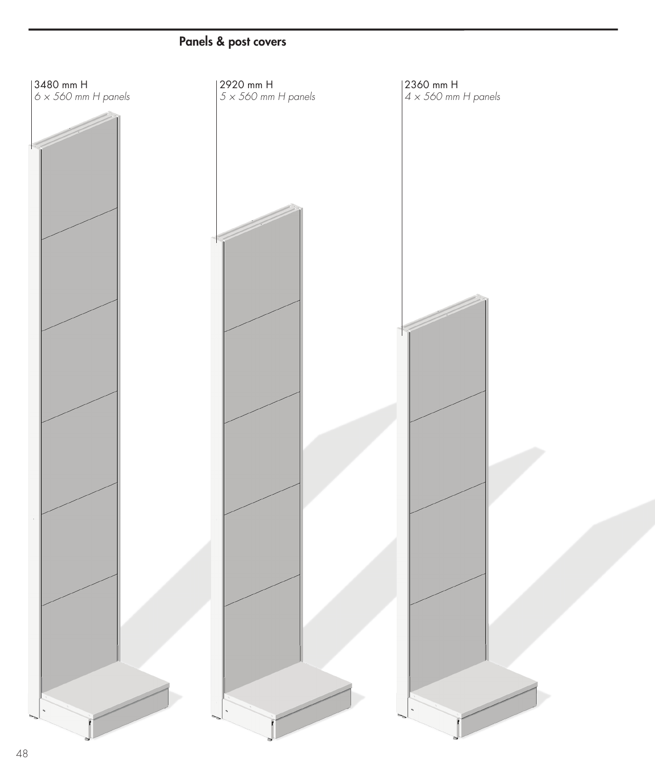## Panels & post covers

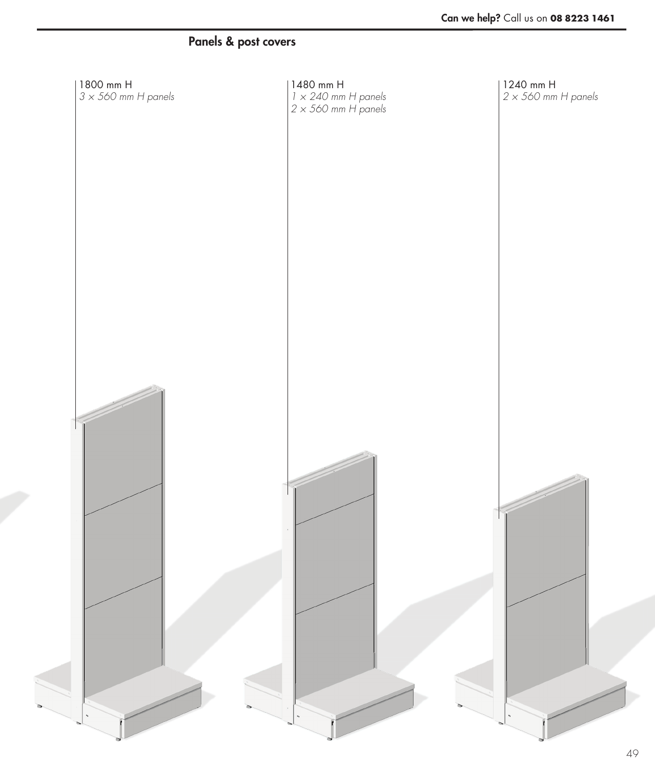## Panels & post covers

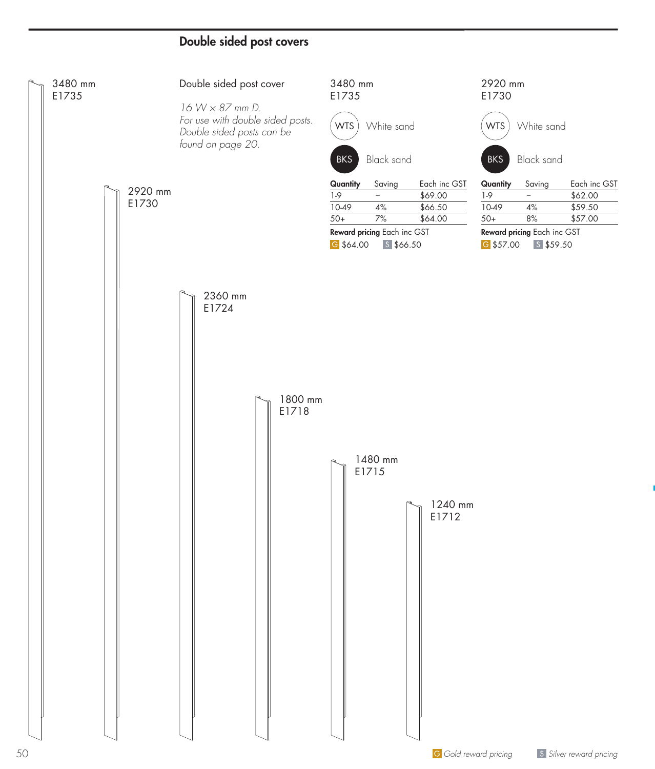## Double sided post covers